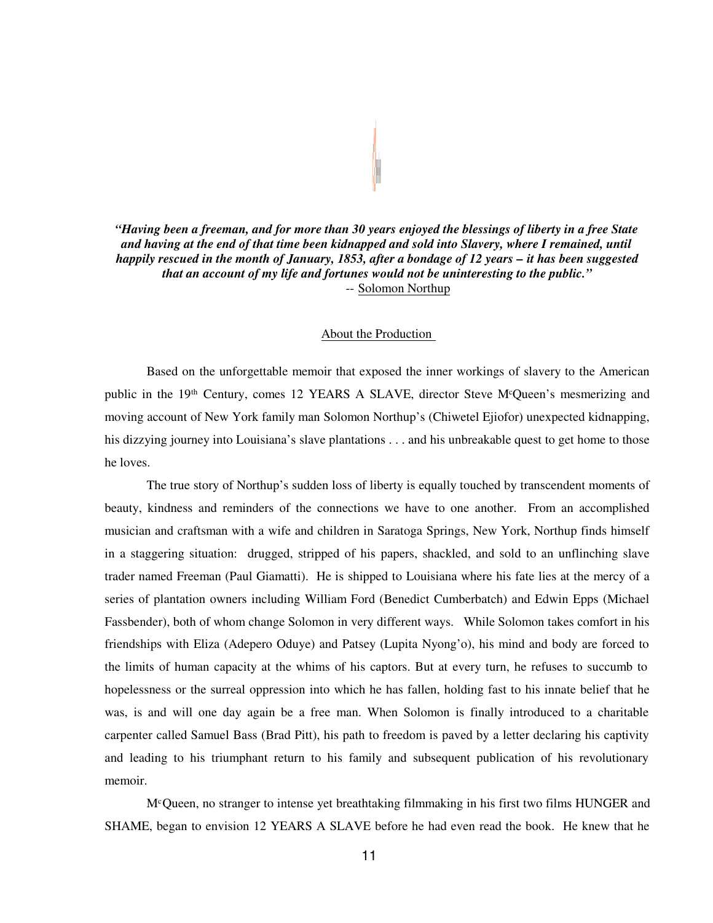*"Having been a freeman, and for more than 30 years enjoyed the blessings of liberty in a free State and having at the end of that time been kidnapped and sold into Slavery, where I remained, until happily rescued in the month of January, 1853, after a bondage of 12 years – it has been suggested that an account of my life and fortunes would not be uninteresting to the public."* -- Solomon Northup

#### About the Production

Based on the unforgettable memoir that exposed the inner workings of slavery to the American public in the 19<sup>th</sup> Century, comes 12 YEARS A SLAVE, director Steve M<sup>c</sup>Queen's mesmerizing and moving account of New York family man Solomon Northup's (Chiwetel Ejiofor) unexpected kidnapping, his dizzying journey into Louisiana's slave plantations . . . and his unbreakable quest to get home to those he loves.

The true story of Northup's sudden loss of liberty is equally touched by transcendent moments of beauty, kindness and reminders of the connections we have to one another. From an accomplished musician and craftsman with a wife and children in Saratoga Springs, New York, Northup finds himself in a staggering situation: drugged, stripped of his papers, shackled, and sold to an unflinching slave trader named Freeman (Paul Giamatti). He is shipped to Louisiana where his fate lies at the mercy of a series of plantation owners including William Ford (Benedict Cumberbatch) and Edwin Epps (Michael Fassbender), both of whom change Solomon in very different ways. While Solomon takes comfort in his friendships with Eliza (Adepero Oduye) and Patsey (Lupita Nyong'o), his mind and body are forced to the limits of human capacity at the whims of his captors. But at every turn, he refuses to succumb to hopelessness or the surreal oppression into which he has fallen, holding fast to his innate belief that he was, is and will one day again be a free man. When Solomon is finally introduced to a charitable carpenter called Samuel Bass (Brad Pitt), his path to freedom is paved by a letter declaring his captivity and leading to his triumphant return to his family and subsequent publication of his revolutionary memoir.

M<sup>c</sup>Queen, no stranger to intense yet breathtaking filmmaking in his first two films HUNGER and SHAME, began to envision 12 YEARS A SLAVE before he had even read the book. He knew that he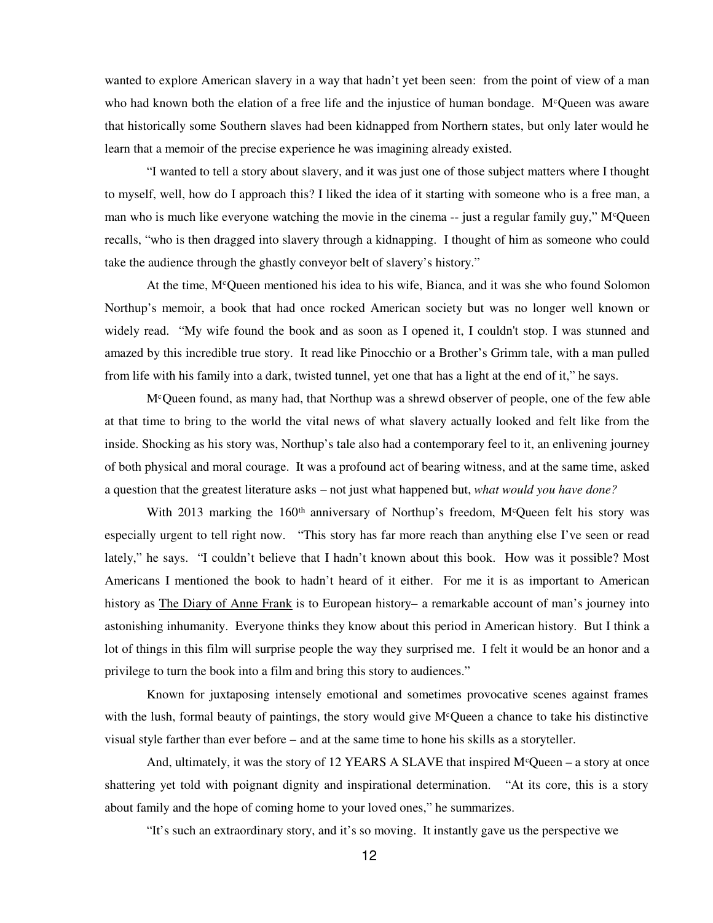wanted to explore American slavery in a way that hadn't yet been seen: from the point of view of a man who had known both the elation of a free life and the injustice of human bondage. M<sup>c</sup>Queen was aware that historically some Southern slaves had been kidnapped from Northern states, but only later would he learn that a memoir of the precise experience he was imagining already existed.

"I wanted to tell a story about slavery, and it was just one of those subject matters where I thought to myself, well, how do I approach this? I liked the idea of it starting with someone who is a free man, a man who is much like everyone watching the movie in the cinema  $-$  just a regular family guy," M<sup>c</sup>Queen recalls, "who is then dragged into slavery through a kidnapping. I thought of him as someone who could take the audience through the ghastly conveyor belt of slavery's history."

At the time, M<sup>c</sup>Queen mentioned his idea to his wife, Bianca, and it was she who found Solomon Northup's memoir, a book that had once rocked American society but was no longer well known or widely read. "My wife found the book and as soon as I opened it, I couldn't stop. I was stunned and amazed by this incredible true story. It read like Pinocchio or a Brother's Grimm tale, with a man pulled from life with his family into a dark, twisted tunnel, yet one that has a light at the end of it," he says.

M<sup>c</sup>Queen found, as many had, that Northup was a shrewd observer of people, one of the few able at that time to bring to the world the vital news of what slavery actually looked and felt like from the inside. Shocking as his story was, Northup's tale also had a contemporary feel to it, an enlivening journey of both physical and moral courage. It was a profound act of bearing witness, and at the same time, asked a question that the greatest literature asks – not just what happened but, *what would you have done?*

With 2013 marking the 160<sup>th</sup> anniversary of Northup's freedom, M<sup>c</sup>Queen felt his story was especially urgent to tell right now. "This story has far more reach than anything else I've seen or read lately," he says. "I couldn't believe that I hadn't known about this book. How was it possible? Most Americans I mentioned the book to hadn't heard of it either. For me it is as important to American history as The Diary of Anne Frank is to European history– a remarkable account of man's journey into astonishing inhumanity. Everyone thinks they know about this period in American history. But I think a lot of things in this film will surprise people the way they surprised me. I felt it would be an honor and a privilege to turn the book into a film and bring this story to audiences."

Known for juxtaposing intensely emotional and sometimes provocative scenes against frames with the lush, formal beauty of paintings, the story would give  $M<sup>c</sup>$ Queen a chance to take his distinctive visual style farther than ever before – and at the same time to hone his skills as a storyteller.

And, ultimately, it was the story of 12 YEARS A SLAVE that inspired  $M^c$ Queen – a story at once shattering yet told with poignant dignity and inspirational determination. "At its core, this is a story about family and the hope of coming home to your loved ones," he summarizes.

"It's such an extraordinary story, and it's so moving. It instantly gave us the perspective we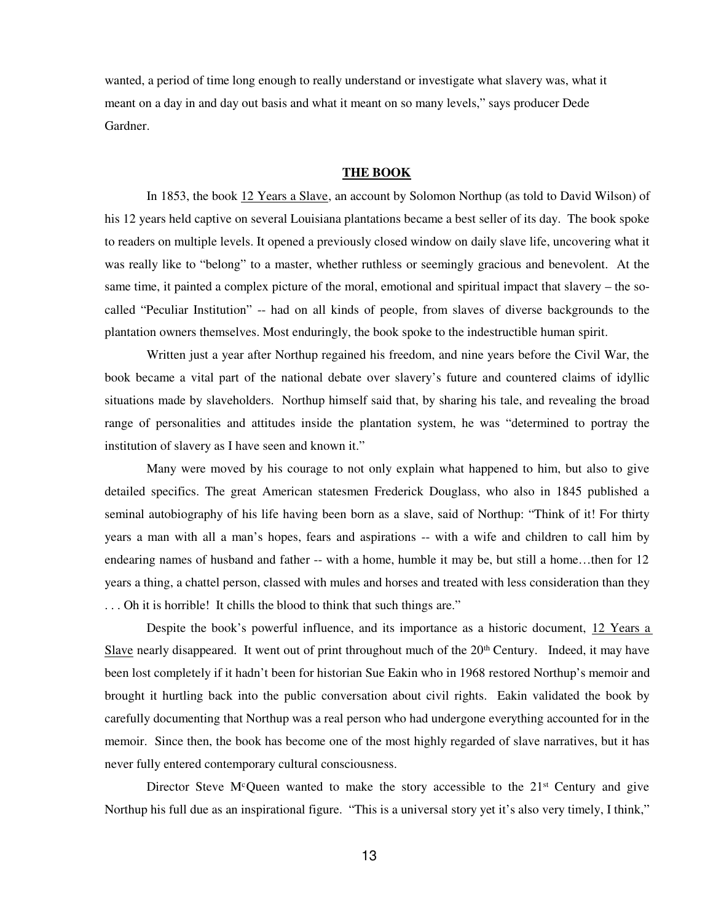wanted, a period of time long enough to really understand or investigate what slavery was, what it meant on a day in and day out basis and what it meant on so many levels," says producer Dede Gardner.

### **THE BOOK**

In 1853, the book 12 Years a Slave, an account by Solomon Northup (as told to David Wilson) of his 12 years held captive on several Louisiana plantations became a best seller of its day. The book spoke to readers on multiple levels. It opened a previously closed window on daily slave life, uncovering what it was really like to "belong" to a master, whether ruthless or seemingly gracious and benevolent. At the same time, it painted a complex picture of the moral, emotional and spiritual impact that slavery – the socalled "Peculiar Institution" -- had on all kinds of people, from slaves of diverse backgrounds to the plantation owners themselves. Most enduringly, the book spoke to the indestructible human spirit.

Written just a year after Northup regained his freedom, and nine years before the Civil War, the book became a vital part of the national debate over slavery's future and countered claims of idyllic situations made by slaveholders. Northup himself said that, by sharing his tale, and revealing the broad range of personalities and attitudes inside the plantation system, he was "determined to portray the institution of slavery as I have seen and known it."

Many were moved by his courage to not only explain what happened to him, but also to give detailed specifics. The great American statesmen Frederick Douglass, who also in 1845 published a seminal autobiography of his life having been born as a slave, said of Northup: "Think of it! For thirty years a man with all a man's hopes, fears and aspirations -- with a wife and children to call him by endearing names of husband and father -- with a home, humble it may be, but still a home…then for 12 years a thing, a chattel person, classed with mules and horses and treated with less consideration than they . . . Oh it is horrible! It chills the blood to think that such things are."

Despite the book's powerful influence, and its importance as a historic document, 12 Years a Slave nearly disappeared. It went out of print throughout much of the  $20<sup>th</sup>$  Century. Indeed, it may have been lost completely if it hadn't been for historian Sue Eakin who in 1968 restored Northup's memoir and brought it hurtling back into the public conversation about civil rights. Eakin validated the book by carefully documenting that Northup was a real person who had undergone everything accounted for in the memoir. Since then, the book has become one of the most highly regarded of slave narratives, but it has never fully entered contemporary cultural consciousness.

Director Steve M<sup>c</sup>Queen wanted to make the story accessible to the  $21<sup>st</sup>$  Century and give Northup his full due as an inspirational figure. "This is a universal story yet it's also very timely, I think,"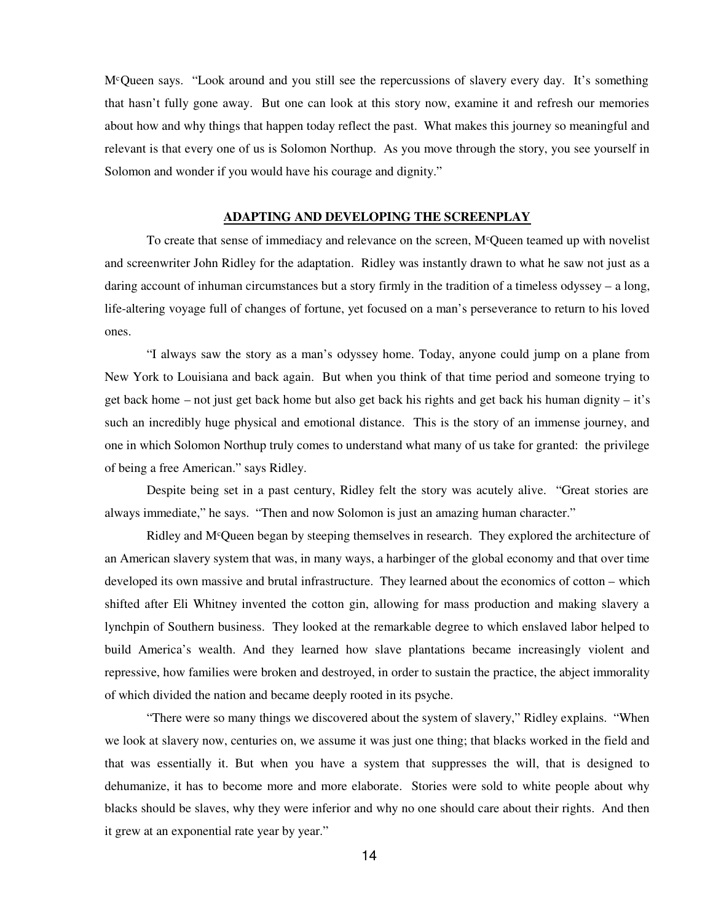M<sup>c</sup>Queen says. "Look around and you still see the repercussions of slavery every day. It's something that hasn't fully gone away. But one can look at this story now, examine it and refresh our memories about how and why things that happen today reflect the past. What makes this journey so meaningful and relevant is that every one of us is Solomon Northup. As you move through the story, you see yourself in Solomon and wonder if you would have his courage and dignity."

### **ADAPTING AND DEVELOPING THE SCREENPLAY**

To create that sense of immediacy and relevance on the screen,  $M<sup>c</sup>$ Queen teamed up with novelist and screenwriter John Ridley for the adaptation. Ridley was instantly drawn to what he saw not just as a daring account of inhuman circumstances but a story firmly in the tradition of a timeless odyssey – a long, life-altering voyage full of changes of fortune, yet focused on a man's perseverance to return to his loved ones.

"I always saw the story as a man's odyssey home. Today, anyone could jump on a plane from New York to Louisiana and back again. But when you think of that time period and someone trying to get back home – not just get back home but also get back his rights and get back his human dignity – it's such an incredibly huge physical and emotional distance. This is the story of an immense journey, and one in which Solomon Northup truly comes to understand what many of us take for granted: the privilege of being a free American." says Ridley.

Despite being set in a past century, Ridley felt the story was acutely alive. "Great stories are always immediate," he says. "Then and now Solomon is just an amazing human character."

Ridley and M<sup>c</sup>Queen began by steeping themselves in research. They explored the architecture of an American slavery system that was, in many ways, a harbinger of the global economy and that over time developed its own massive and brutal infrastructure. They learned about the economics of cotton – which shifted after Eli Whitney invented the cotton gin, allowing for mass production and making slavery a lynchpin of Southern business. They looked at the remarkable degree to which enslaved labor helped to build America's wealth. And they learned how slave plantations became increasingly violent and repressive, how families were broken and destroyed, in order to sustain the practice, the abject immorality of which divided the nation and became deeply rooted in its psyche.

"There were so many things we discovered about the system of slavery," Ridley explains. "When we look at slavery now, centuries on, we assume it was just one thing; that blacks worked in the field and that was essentially it. But when you have a system that suppresses the will, that is designed to dehumanize, it has to become more and more elaborate. Stories were sold to white people about why blacks should be slaves, why they were inferior and why no one should care about their rights. And then it grew at an exponential rate year by year."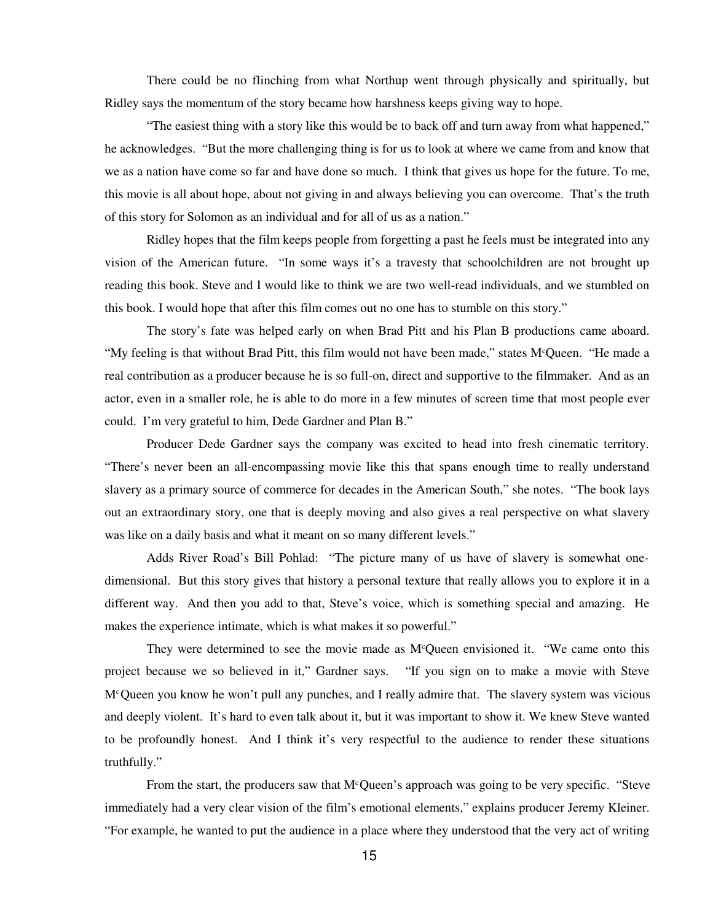There could be no flinching from what Northup went through physically and spiritually, but Ridley says the momentum of the story became how harshness keeps giving way to hope.

"The easiest thing with a story like this would be to back off and turn away from what happened," he acknowledges. "But the more challenging thing is for us to look at where we came from and know that we as a nation have come so far and have done so much. I think that gives us hope for the future. To me, this movie is all about hope, about not giving in and always believing you can overcome. That's the truth of this story for Solomon as an individual and for all of us as a nation."

Ridley hopes that the film keeps people from forgetting a past he feels must be integrated into any vision of the American future. "In some ways it's a travesty that schoolchildren are not brought up reading this book. Steve and I would like to think we are two well-read individuals, and we stumbled on this book. I would hope that after this film comes out no one has to stumble on this story."

The story's fate was helped early on when Brad Pitt and his Plan B productions came aboard. "My feeling is that without Brad Pitt, this film would not have been made," states M<sup>c</sup>Queen. "He made a real contribution as a producer because he is so full-on, direct and supportive to the filmmaker. And as an actor, even in a smaller role, he is able to do more in a few minutes of screen time that most people ever could. I'm very grateful to him, Dede Gardner and Plan B."

Producer Dede Gardner says the company was excited to head into fresh cinematic territory. "There's never been an all-encompassing movie like this that spans enough time to really understand slavery as a primary source of commerce for decades in the American South," she notes. "The book lays out an extraordinary story, one that is deeply moving and also gives a real perspective on what slavery was like on a daily basis and what it meant on so many different levels."

Adds River Road's Bill Pohlad: "The picture many of us have of slavery is somewhat onedimensional. But this story gives that history a personal texture that really allows you to explore it in a different way. And then you add to that, Steve's voice, which is something special and amazing. He makes the experience intimate, which is what makes it so powerful."

They were determined to see the movie made as M<sup>c</sup>Queen envisioned it. "We came onto this project because we so believed in it," Gardner says. "If you sign on to make a movie with Steve M<sup>c</sup>Queen you know he won't pull any punches, and I really admire that. The slavery system was vicious and deeply violent. It's hard to even talk about it, but it was important to show it. We knew Steve wanted to be profoundly honest. And I think it's very respectful to the audience to render these situations truthfully."

From the start, the producers saw that  $M<sup>c</sup>$ Queen's approach was going to be very specific. "Steve immediately had a very clear vision of the film's emotional elements," explains producer Jeremy Kleiner. "For example, he wanted to put the audience in a place where they understood that the very act of writing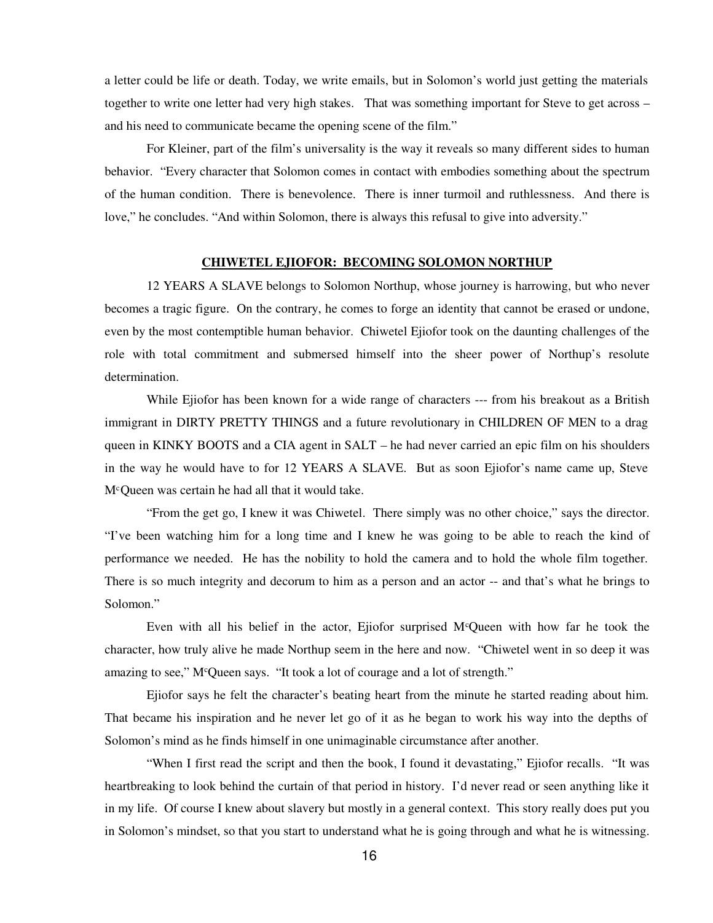a letter could be life or death. Today, we write emails, but in Solomon's world just getting the materials together to write one letter had very high stakes. That was something important for Steve to get across – and his need to communicate became the opening scene of the film."

For Kleiner, part of the film's universality is the way it reveals so many different sides to human behavior. "Every character that Solomon comes in contact with embodies something about the spectrum of the human condition. There is benevolence. There is inner turmoil and ruthlessness. And there is love," he concludes. "And within Solomon, there is always this refusal to give into adversity."

### **CHIWETEL EJIOFOR: BECOMING SOLOMON NORTHUP**

12 YEARS A SLAVE belongs to Solomon Northup, whose journey is harrowing, but who never becomes a tragic figure. On the contrary, he comes to forge an identity that cannot be erased or undone, even by the most contemptible human behavior. Chiwetel Ejiofor took on the daunting challenges of the role with total commitment and submersed himself into the sheer power of Northup's resolute determination.

While Ejiofor has been known for a wide range of characters --- from his breakout as a British immigrant in DIRTY PRETTY THINGS and a future revolutionary in CHILDREN OF MEN to a drag queen in KINKY BOOTS and a CIA agent in SALT – he had never carried an epic film on his shoulders in the way he would have to for 12 YEARS A SLAVE. But as soon Ejiofor's name came up, Steve M<sup>c</sup>Queen was certain he had all that it would take.

"From the get go, I knew it was Chiwetel. There simply was no other choice," says the director. "I've been watching him for a long time and I knew he was going to be able to reach the kind of performance we needed. He has the nobility to hold the camera and to hold the whole film together. There is so much integrity and decorum to him as a person and an actor -- and that's what he brings to Solomon."

Even with all his belief in the actor, Ejiofor surprised M<sup>c</sup>Queen with how far he took the character, how truly alive he made Northup seem in the here and now. "Chiwetel went in so deep it was amazing to see," M<sup>c</sup>Queen says. "It took a lot of courage and a lot of strength."

Ejiofor says he felt the character's beating heart from the minute he started reading about him. That became his inspiration and he never let go of it as he began to work his way into the depths of Solomon's mind as he finds himself in one unimaginable circumstance after another.

"When I first read the script and then the book, I found it devastating," Ejiofor recalls. "It was heartbreaking to look behind the curtain of that period in history. I'd never read or seen anything like it in my life. Of course I knew about slavery but mostly in a general context. This story really does put you in Solomon's mindset, so that you start to understand what he is going through and what he is witnessing.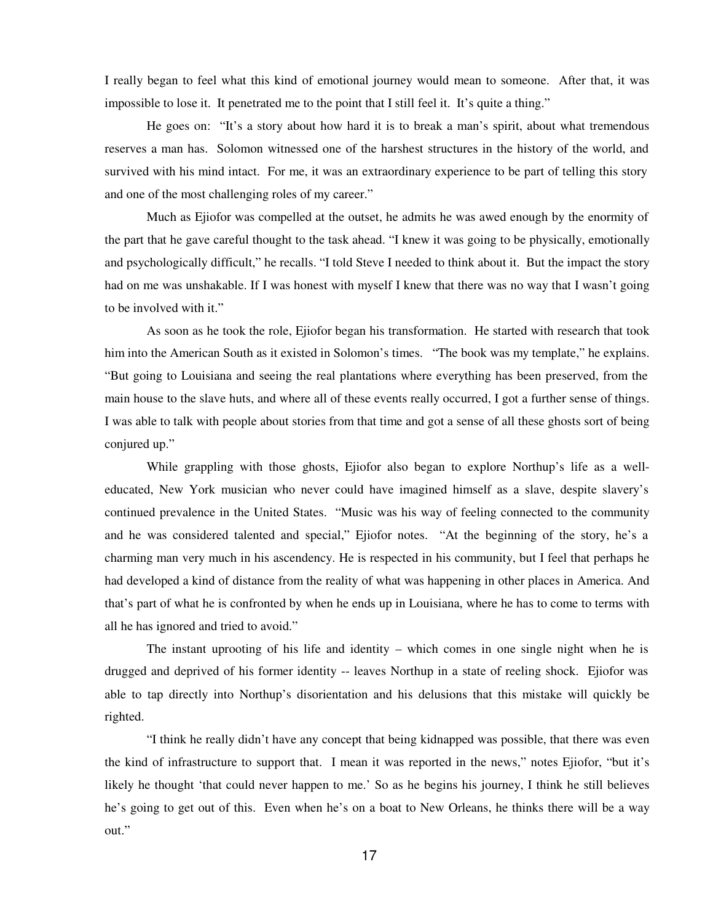I really began to feel what this kind of emotional journey would mean to someone. After that, it was impossible to lose it. It penetrated me to the point that I still feel it. It's quite a thing."

He goes on: "It's a story about how hard it is to break a man's spirit, about what tremendous reserves a man has. Solomon witnessed one of the harshest structures in the history of the world, and survived with his mind intact. For me, it was an extraordinary experience to be part of telling this story and one of the most challenging roles of my career."

Much as Ejiofor was compelled at the outset, he admits he was awed enough by the enormity of the part that he gave careful thought to the task ahead. "I knew it was going to be physically, emotionally and psychologically difficult," he recalls. "I told Steve I needed to think about it. But the impact the story had on me was unshakable. If I was honest with myself I knew that there was no way that I wasn't going to be involved with it."

As soon as he took the role, Ejiofor began his transformation. He started with research that took him into the American South as it existed in Solomon's times. "The book was my template," he explains. "But going to Louisiana and seeing the real plantations where everything has been preserved, from the main house to the slave huts, and where all of these events really occurred, I got a further sense of things. I was able to talk with people about stories from that time and got a sense of all these ghosts sort of being conjured up."

 While grappling with those ghosts, Ejiofor also began to explore Northup's life as a welleducated, New York musician who never could have imagined himself as a slave, despite slavery's continued prevalence in the United States. "Music was his way of feeling connected to the community and he was considered talented and special," Ejiofor notes. "At the beginning of the story, he's a charming man very much in his ascendency. He is respected in his community, but I feel that perhaps he had developed a kind of distance from the reality of what was happening in other places in America. And that's part of what he is confronted by when he ends up in Louisiana, where he has to come to terms with all he has ignored and tried to avoid."

The instant uprooting of his life and identity – which comes in one single night when he is drugged and deprived of his former identity -- leaves Northup in a state of reeling shock. Ejiofor was able to tap directly into Northup's disorientation and his delusions that this mistake will quickly be righted.

"I think he really didn't have any concept that being kidnapped was possible, that there was even the kind of infrastructure to support that. I mean it was reported in the news," notes Ejiofor, "but it's likely he thought 'that could never happen to me.' So as he begins his journey, I think he still believes he's going to get out of this. Even when he's on a boat to New Orleans, he thinks there will be a way out."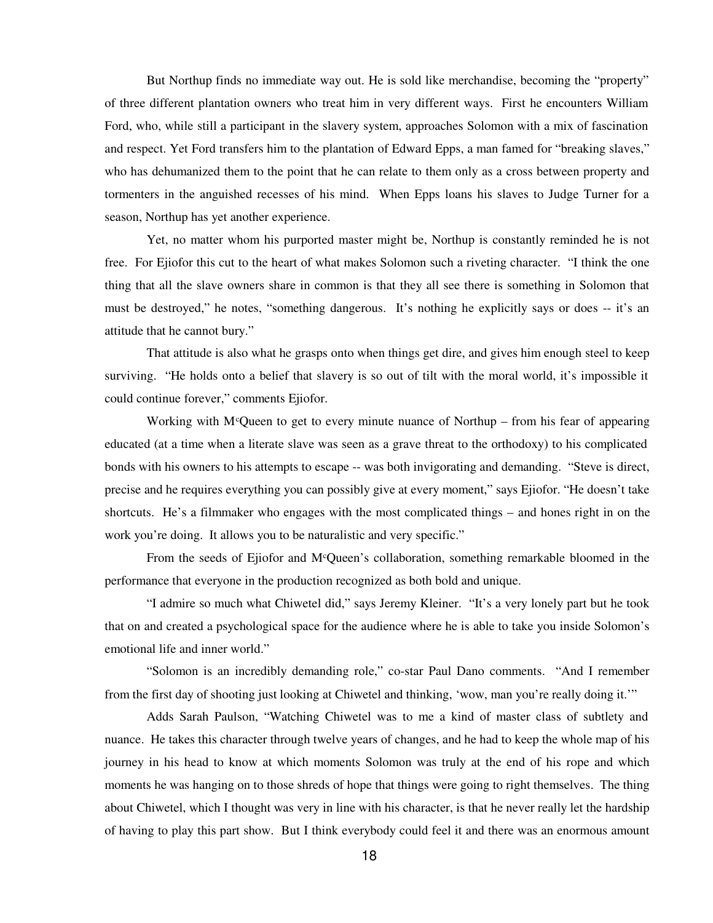But Northup finds no immediate way out. He is sold like merchandise, becoming the "property" of three different plantation owners who treat him in very different ways. First he encounters William Ford, who, while still a participant in the slavery system, approaches Solomon with a mix of fascination and respect. Yet Ford transfers him to the plantation of Edward Epps, a man famed for "breaking slaves," who has dehumanized them to the point that he can relate to them only as a cross between property and tormenters in the anguished recesses of his mind. When Epps loans his slaves to Judge Turner for a season, Northup has yet another experience.

Yet, no matter whom his purported master might be, Northup is constantly reminded he is not free. For Ejiofor this cut to the heart of what makes Solomon such a riveting character. "I think the one thing that all the slave owners share in common is that they all see there is something in Solomon that must be destroyed," he notes, "something dangerous. It's nothing he explicitly says or does -- it's an attitude that he cannot bury."

That attitude is also what he grasps onto when things get dire, and gives him enough steel to keep surviving. "He holds onto a belief that slavery is so out of tilt with the moral world, it's impossible it could continue forever," comments Ejiofor.

Working with M<sup>c</sup>Queen to get to every minute nuance of Northup – from his fear of appearing educated (at a time when a literate slave was seen as a grave threat to the orthodoxy) to his complicated bonds with his owners to his attempts to escape -- was both invigorating and demanding. "Steve is direct, precise and he requires everything you can possibly give at every moment," says Ejiofor. "He doesn't take shortcuts. He's a filmmaker who engages with the most complicated things – and hones right in on the work you're doing. It allows you to be naturalistic and very specific."

From the seeds of Ejiofor and M<sup>c</sup>Queen's collaboration, something remarkable bloomed in the performance that everyone in the production recognized as both bold and unique.

"I admire so much what Chiwetel did," says Jeremy Kleiner. "It's a very lonely part but he took that on and created a psychological space for the audience where he is able to take you inside Solomon's emotional life and inner world."

"Solomon is an incredibly demanding role," co-star Paul Dano comments. "And I remember from the first day of shooting just looking at Chiwetel and thinking, 'wow, man you're really doing it.'"

Adds Sarah Paulson, "Watching Chiwetel was to me a kind of master class of subtlety and nuance. He takes this character through twelve years of changes, and he had to keep the whole map of his journey in his head to know at which moments Solomon was truly at the end of his rope and which moments he was hanging on to those shreds of hope that things were going to right themselves. The thing about Chiwetel, which I thought was very in line with his character, is that he never really let the hardship of having to play this part show. But I think everybody could feel it and there was an enormous amount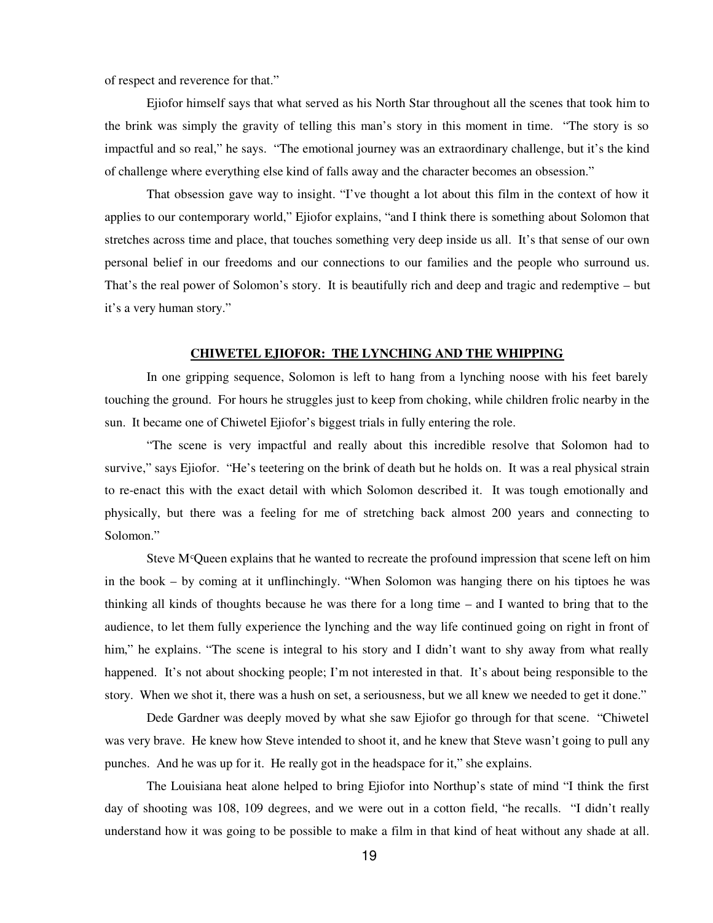of respect and reverence for that."

Ejiofor himself says that what served as his North Star throughout all the scenes that took him to the brink was simply the gravity of telling this man's story in this moment in time. "The story is so impactful and so real," he says. "The emotional journey was an extraordinary challenge, but it's the kind of challenge where everything else kind of falls away and the character becomes an obsession."

That obsession gave way to insight. "I've thought a lot about this film in the context of how it applies to our contemporary world," Ejiofor explains, "and I think there is something about Solomon that stretches across time and place, that touches something very deep inside us all. It's that sense of our own personal belief in our freedoms and our connections to our families and the people who surround us. That's the real power of Solomon's story. It is beautifully rich and deep and tragic and redemptive – but it's a very human story."

#### **CHIWETEL EJIOFOR: THE LYNCHING AND THE WHIPPING**

In one gripping sequence, Solomon is left to hang from a lynching noose with his feet barely touching the ground. For hours he struggles just to keep from choking, while children frolic nearby in the sun. It became one of Chiwetel Ejiofor's biggest trials in fully entering the role.

"The scene is very impactful and really about this incredible resolve that Solomon had to survive," says Ejiofor. "He's teetering on the brink of death but he holds on. It was a real physical strain to re-enact this with the exact detail with which Solomon described it. It was tough emotionally and physically, but there was a feeling for me of stretching back almost 200 years and connecting to Solomon."

Steve  $M<sup>c</sup>$  Queen explains that he wanted to recreate the profound impression that scene left on him in the book – by coming at it unflinchingly. "When Solomon was hanging there on his tiptoes he was thinking all kinds of thoughts because he was there for a long time – and I wanted to bring that to the audience, to let them fully experience the lynching and the way life continued going on right in front of him," he explains. "The scene is integral to his story and I didn't want to shy away from what really happened. It's not about shocking people; I'm not interested in that. It's about being responsible to the story. When we shot it, there was a hush on set, a seriousness, but we all knew we needed to get it done."

Dede Gardner was deeply moved by what she saw Ejiofor go through for that scene. "Chiwetel was very brave. He knew how Steve intended to shoot it, and he knew that Steve wasn't going to pull any punches. And he was up for it. He really got in the headspace for it," she explains.

The Louisiana heat alone helped to bring Ejiofor into Northup's state of mind "I think the first day of shooting was 108, 109 degrees, and we were out in a cotton field, "he recalls. "I didn't really understand how it was going to be possible to make a film in that kind of heat without any shade at all.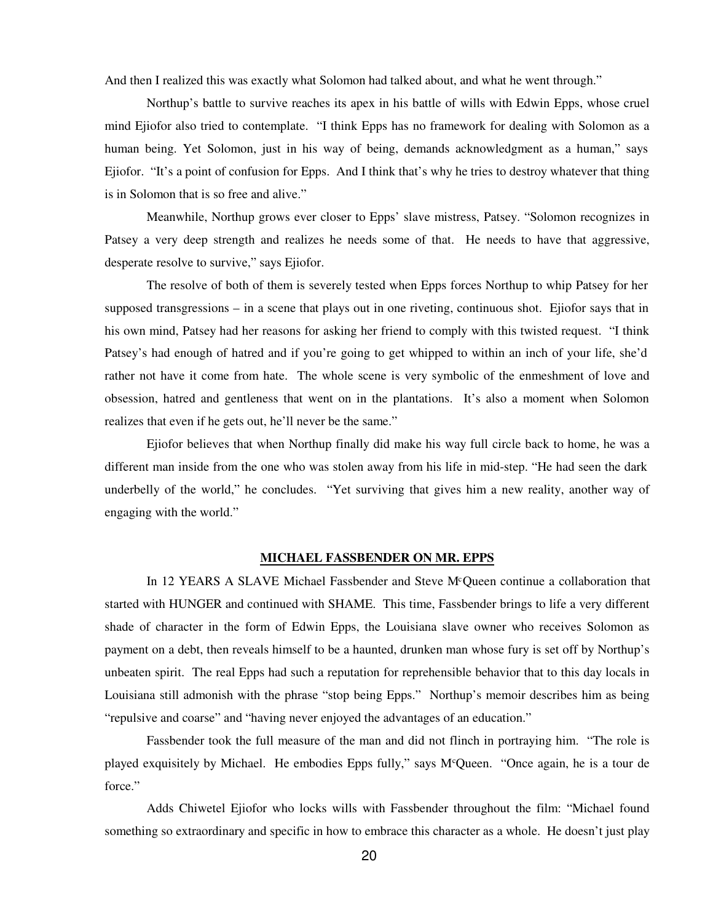And then I realized this was exactly what Solomon had talked about, and what he went through."

Northup's battle to survive reaches its apex in his battle of wills with Edwin Epps, whose cruel mind Ejiofor also tried to contemplate. "I think Epps has no framework for dealing with Solomon as a human being. Yet Solomon, just in his way of being, demands acknowledgment as a human," says Ejiofor. "It's a point of confusion for Epps. And I think that's why he tries to destroy whatever that thing is in Solomon that is so free and alive."

Meanwhile, Northup grows ever closer to Epps' slave mistress, Patsey. "Solomon recognizes in Patsey a very deep strength and realizes he needs some of that. He needs to have that aggressive, desperate resolve to survive," says Ejiofor.

The resolve of both of them is severely tested when Epps forces Northup to whip Patsey for her supposed transgressions – in a scene that plays out in one riveting, continuous shot. Ejiofor says that in his own mind, Patsey had her reasons for asking her friend to comply with this twisted request. "I think Patsey's had enough of hatred and if you're going to get whipped to within an inch of your life, she'd rather not have it come from hate. The whole scene is very symbolic of the enmeshment of love and obsession, hatred and gentleness that went on in the plantations. It's also a moment when Solomon realizes that even if he gets out, he'll never be the same."

Ejiofor believes that when Northup finally did make his way full circle back to home, he was a different man inside from the one who was stolen away from his life in mid-step. "He had seen the dark underbelly of the world," he concludes. "Yet surviving that gives him a new reality, another way of engaging with the world."

### **MICHAEL FASSBENDER ON MR. EPPS**

In 12 YEARS A SLAVE Michael Fassbender and Steve M<sup>c</sup>Queen continue a collaboration that started with HUNGER and continued with SHAME. This time, Fassbender brings to life a very different shade of character in the form of Edwin Epps, the Louisiana slave owner who receives Solomon as payment on a debt, then reveals himself to be a haunted, drunken man whose fury is set off by Northup's unbeaten spirit. The real Epps had such a reputation for reprehensible behavior that to this day locals in Louisiana still admonish with the phrase "stop being Epps." Northup's memoir describes him as being "repulsive and coarse" and "having never enjoyed the advantages of an education."

Fassbender took the full measure of the man and did not flinch in portraying him. "The role is played exquisitely by Michael. He embodies Epps fully," says M<sup>c</sup>Queen. "Once again, he is a tour de force."

Adds Chiwetel Ejiofor who locks wills with Fassbender throughout the film: "Michael found something so extraordinary and specific in how to embrace this character as a whole. He doesn't just play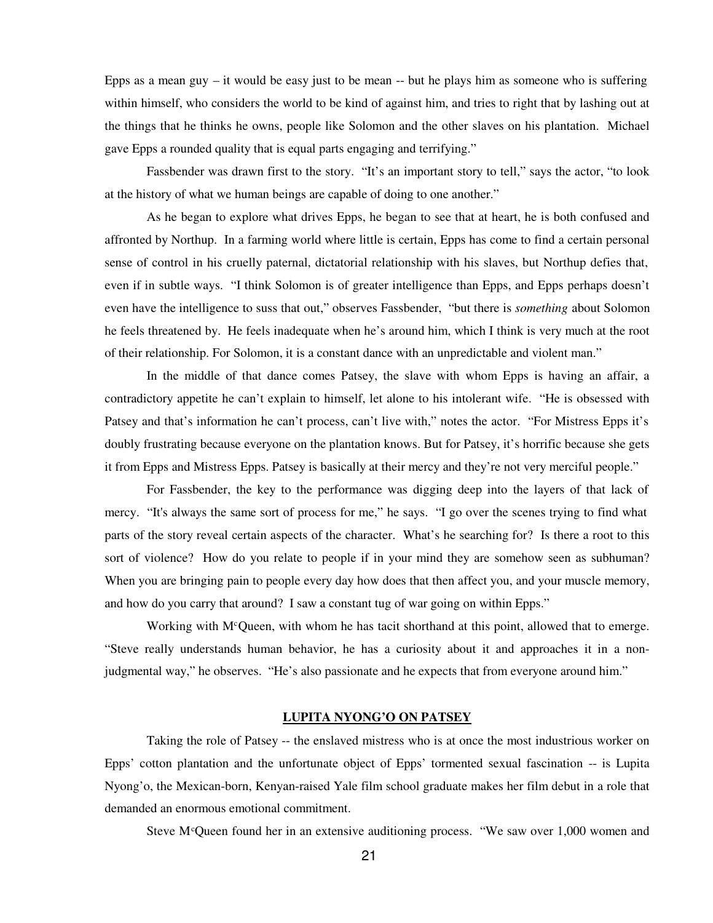Epps as a mean guy  $-$  it would be easy just to be mean  $-$  but he plays him as someone who is suffering within himself, who considers the world to be kind of against him, and tries to right that by lashing out at the things that he thinks he owns, people like Solomon and the other slaves on his plantation. Michael gave Epps a rounded quality that is equal parts engaging and terrifying."

Fassbender was drawn first to the story. "It's an important story to tell," says the actor, "to look at the history of what we human beings are capable of doing to one another."

As he began to explore what drives Epps, he began to see that at heart, he is both confused and affronted by Northup. In a farming world where little is certain, Epps has come to find a certain personal sense of control in his cruelly paternal, dictatorial relationship with his slaves, but Northup defies that, even if in subtle ways. "I think Solomon is of greater intelligence than Epps, and Epps perhaps doesn't even have the intelligence to suss that out," observes Fassbender, "but there is *something* about Solomon he feels threatened by. He feels inadequate when he's around him, which I think is very much at the root of their relationship. For Solomon, it is a constant dance with an unpredictable and violent man."

In the middle of that dance comes Patsey, the slave with whom Epps is having an affair, a contradictory appetite he can't explain to himself, let alone to his intolerant wife. "He is obsessed with Patsey and that's information he can't process, can't live with," notes the actor. "For Mistress Epps it's doubly frustrating because everyone on the plantation knows. But for Patsey, it's horrific because she gets it from Epps and Mistress Epps. Patsey is basically at their mercy and they're not very merciful people."

For Fassbender, the key to the performance was digging deep into the layers of that lack of mercy. "It's always the same sort of process for me," he says. "I go over the scenes trying to find what parts of the story reveal certain aspects of the character. What's he searching for? Is there a root to this sort of violence? How do you relate to people if in your mind they are somehow seen as subhuman? When you are bringing pain to people every day how does that then affect you, and your muscle memory, and how do you carry that around? I saw a constant tug of war going on within Epps."

Working with  $M^c$ Queen, with whom he has tacit shorthand at this point, allowed that to emerge. "Steve really understands human behavior, he has a curiosity about it and approaches it in a nonjudgmental way," he observes. "He's also passionate and he expects that from everyone around him."

# **LUPITA NYONG'O ON PATSEY**

Taking the role of Patsey -- the enslaved mistress who is at once the most industrious worker on Epps' cotton plantation and the unfortunate object of Epps' tormented sexual fascination -- is Lupita Nyong'o, the Mexican-born, Kenyan-raised Yale film school graduate makes her film debut in a role that demanded an enormous emotional commitment.

Steve M<sup>c</sup>Queen found her in an extensive auditioning process. "We saw over  $1,000$  women and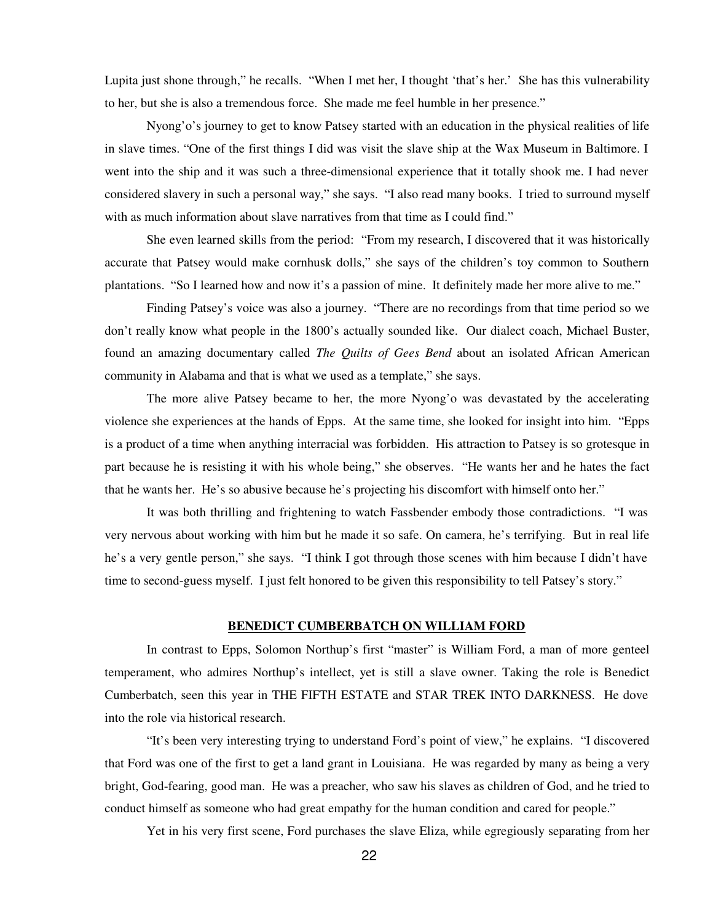Lupita just shone through," he recalls. "When I met her, I thought 'that's her.' She has this vulnerability to her, but she is also a tremendous force. She made me feel humble in her presence."

Nyong'o's journey to get to know Patsey started with an education in the physical realities of life in slave times. "One of the first things I did was visit the slave ship at the Wax Museum in Baltimore. I went into the ship and it was such a three-dimensional experience that it totally shook me. I had never considered slavery in such a personal way," she says. "I also read many books. I tried to surround myself with as much information about slave narratives from that time as I could find."

She even learned skills from the period: "From my research, I discovered that it was historically accurate that Patsey would make cornhusk dolls," she says of the children's toy common to Southern plantations. "So I learned how and now it's a passion of mine. It definitely made her more alive to me."

Finding Patsey's voice was also a journey. "There are no recordings from that time period so we don't really know what people in the 1800's actually sounded like. Our dialect coach, Michael Buster, found an amazing documentary called *The Quilts of Gees Bend* about an isolated African American community in Alabama and that is what we used as a template," she says.

The more alive Patsey became to her, the more Nyong'o was devastated by the accelerating violence she experiences at the hands of Epps. At the same time, she looked for insight into him. "Epps is a product of a time when anything interracial was forbidden. His attraction to Patsey is so grotesque in part because he is resisting it with his whole being," she observes. "He wants her and he hates the fact that he wants her. He's so abusive because he's projecting his discomfort with himself onto her."

It was both thrilling and frightening to watch Fassbender embody those contradictions. "I was very nervous about working with him but he made it so safe. On camera, he's terrifying. But in real life he's a very gentle person," she says. "I think I got through those scenes with him because I didn't have time to second-guess myself. I just felt honored to be given this responsibility to tell Patsey's story."

### **BENEDICT CUMBERBATCH ON WILLIAM FORD**

In contrast to Epps, Solomon Northup's first "master" is William Ford, a man of more genteel temperament, who admires Northup's intellect, yet is still a slave owner. Taking the role is Benedict Cumberbatch, seen this year in THE FIFTH ESTATE and STAR TREK INTO DARKNESS. He dove into the role via historical research.

"It's been very interesting trying to understand Ford's point of view," he explains. "I discovered that Ford was one of the first to get a land grant in Louisiana. He was regarded by many as being a very bright, God-fearing, good man. He was a preacher, who saw his slaves as children of God, and he tried to conduct himself as someone who had great empathy for the human condition and cared for people."

Yet in his very first scene, Ford purchases the slave Eliza, while egregiously separating from her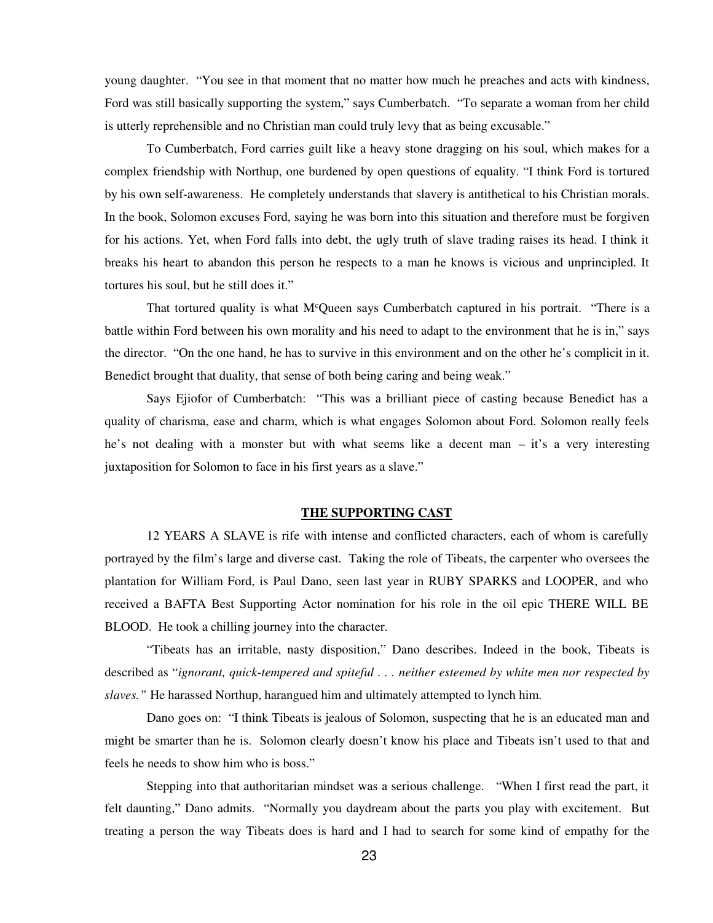young daughter. "You see in that moment that no matter how much he preaches and acts with kindness, Ford was still basically supporting the system," says Cumberbatch. "To separate a woman from her child is utterly reprehensible and no Christian man could truly levy that as being excusable."

To Cumberbatch, Ford carries guilt like a heavy stone dragging on his soul, which makes for a complex friendship with Northup, one burdened by open questions of equality. "I think Ford is tortured by his own self-awareness. He completely understands that slavery is antithetical to his Christian morals. In the book, Solomon excuses Ford, saying he was born into this situation and therefore must be forgiven for his actions. Yet, when Ford falls into debt, the ugly truth of slave trading raises its head. I think it breaks his heart to abandon this person he respects to a man he knows is vicious and unprincipled. It tortures his soul, but he still does it."

That tortured quality is what M<sup>c</sup>Queen says Cumberbatch captured in his portrait. "There is a battle within Ford between his own morality and his need to adapt to the environment that he is in," says the director. "On the one hand, he has to survive in this environment and on the other he's complicit in it. Benedict brought that duality, that sense of both being caring and being weak."

Says Ejiofor of Cumberbatch: "This was a brilliant piece of casting because Benedict has a quality of charisma, ease and charm, which is what engages Solomon about Ford. Solomon really feels he's not dealing with a monster but with what seems like a decent man – it's a very interesting juxtaposition for Solomon to face in his first years as a slave."

# **THE SUPPORTING CAST**

12 YEARS A SLAVE is rife with intense and conflicted characters, each of whom is carefully portrayed by the film's large and diverse cast. Taking the role of Tibeats, the carpenter who oversees the plantation for William Ford, is Paul Dano, seen last year in RUBY SPARKS and LOOPER, and who received a BAFTA Best Supporting Actor nomination for his role in the oil epic THERE WILL BE BLOOD. He took a chilling journey into the character.

"Tibeats has an irritable, nasty disposition," Dano describes. Indeed in the book, Tibeats is described as "*ignorant, quick-tempered and spiteful . . . neither esteemed by white men nor respected by slaves."* He harassed Northup, harangued him and ultimately attempted to lynch him.

Dano goes on: "I think Tibeats is jealous of Solomon, suspecting that he is an educated man and might be smarter than he is. Solomon clearly doesn't know his place and Tibeats isn't used to that and feels he needs to show him who is boss."

Stepping into that authoritarian mindset was a serious challenge. "When I first read the part, it felt daunting," Dano admits. "Normally you daydream about the parts you play with excitement. But treating a person the way Tibeats does is hard and I had to search for some kind of empathy for the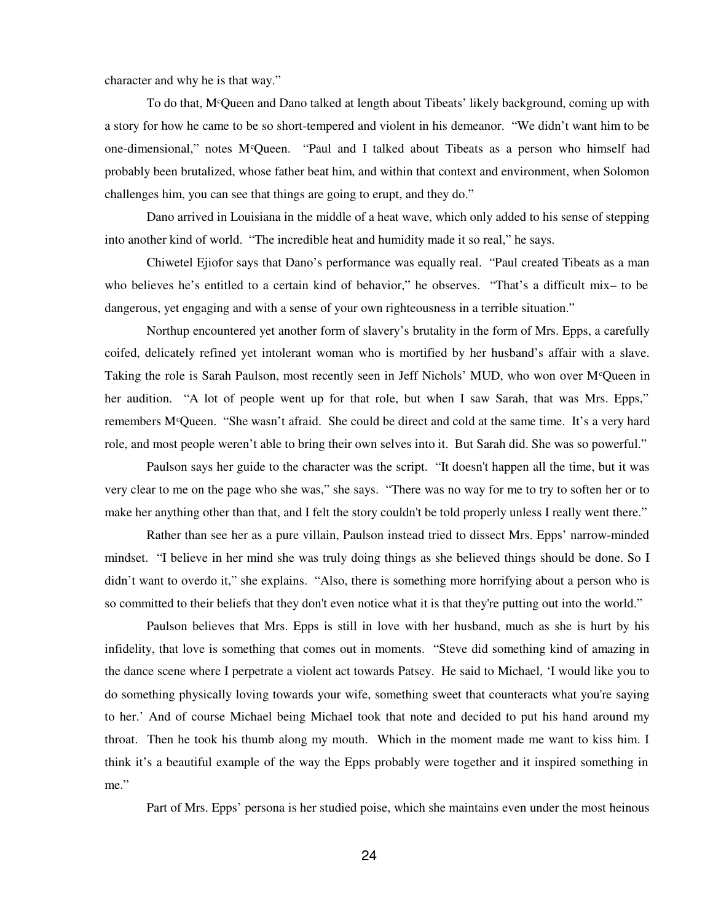character and why he is that way."

To do that, M<sup>c</sup>Queen and Dano talked at length about Tibeats' likely background, coming up with a story for how he came to be so short-tempered and violent in his demeanor. "We didn't want him to be one-dimensional," notes M<sup>c</sup>Queen. "Paul and I talked about Tibeats as a person who himself had probably been brutalized, whose father beat him, and within that context and environment, when Solomon challenges him, you can see that things are going to erupt, and they do."

Dano arrived in Louisiana in the middle of a heat wave, which only added to his sense of stepping into another kind of world. "The incredible heat and humidity made it so real," he says.

Chiwetel Ejiofor says that Dano's performance was equally real. "Paul created Tibeats as a man who believes he's entitled to a certain kind of behavior," he observes. "That's a difficult mix– to be dangerous, yet engaging and with a sense of your own righteousness in a terrible situation."

Northup encountered yet another form of slavery's brutality in the form of Mrs. Epps, a carefully coifed, delicately refined yet intolerant woman who is mortified by her husband's affair with a slave. Taking the role is Sarah Paulson, most recently seen in Jeff Nichols' MUD, who won over M<sup>c</sup>Queen in her audition. "A lot of people went up for that role, but when I saw Sarah, that was Mrs. Epps," remembers M<sup>c</sup>Queen. "She wasn't afraid. She could be direct and cold at the same time. It's a very hard role, and most people weren't able to bring their own selves into it. But Sarah did. She was so powerful."

Paulson says her guide to the character was the script. "It doesn't happen all the time, but it was very clear to me on the page who she was," she says. "There was no way for me to try to soften her or to make her anything other than that, and I felt the story couldn't be told properly unless I really went there."

Rather than see her as a pure villain, Paulson instead tried to dissect Mrs. Epps' narrow-minded mindset. "I believe in her mind she was truly doing things as she believed things should be done. So I didn't want to overdo it," she explains. "Also, there is something more horrifying about a person who is so committed to their beliefs that they don't even notice what it is that they're putting out into the world."

Paulson believes that Mrs. Epps is still in love with her husband, much as she is hurt by his infidelity, that love is something that comes out in moments. "Steve did something kind of amazing in the dance scene where I perpetrate a violent act towards Patsey. He said to Michael, 'I would like you to do something physically loving towards your wife, something sweet that counteracts what you're saying to her.' And of course Michael being Michael took that note and decided to put his hand around my throat. Then he took his thumb along my mouth. Which in the moment made me want to kiss him. I think it's a beautiful example of the way the Epps probably were together and it inspired something in me."

Part of Mrs. Epps' persona is her studied poise, which she maintains even under the most heinous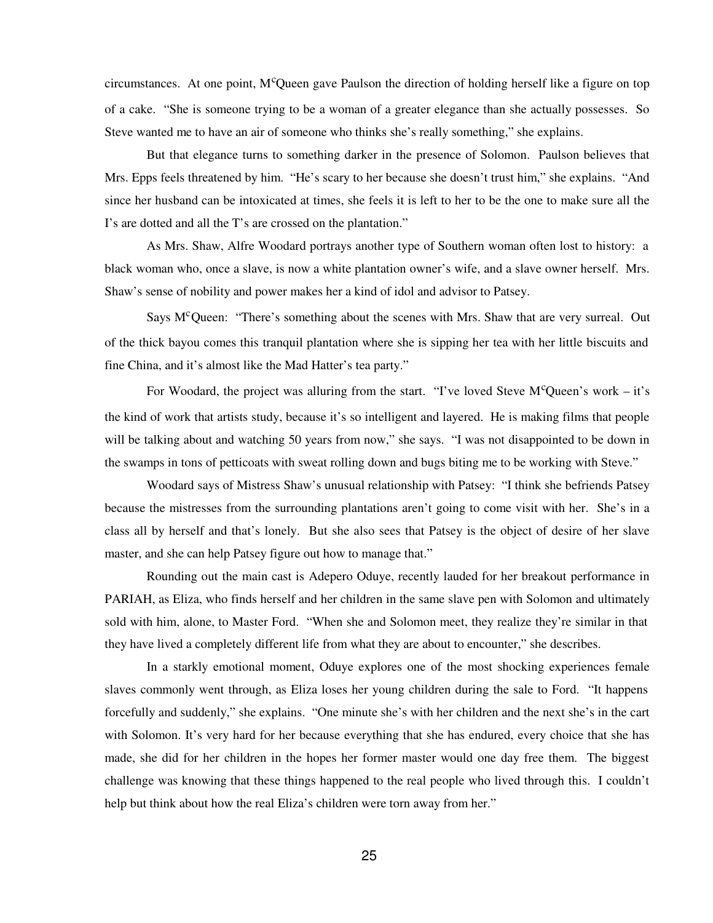circumstances. At one point,  $M^c$ Queen gave Paulson the direction of holding herself like a figure on top of a cake. "She is someone trying to be a woman of a greater elegance than she actually possesses. So Steve wanted me to have an air of someone who thinks she's really something," she explains.

But that elegance turns to something darker in the presence of Solomon. Paulson believes that Mrs. Epps feels threatened by him. "He's scary to her because she doesn't trust him," she explains. "And since her husband can be intoxicated at times, she feels it is left to her to be the one to make sure all the I's are dotted and all the T's are crossed on the plantation."

As Mrs. Shaw, Alfre Woodard portrays another type of Southern woman often lost to history: a black woman who, once a slave, is now a white plantation owner's wife, and a slave owner herself. Mrs. Shaw's sense of nobility and power makes her a kind of idol and advisor to Patsey.

Says  $M<sup>c</sup>$  Queen: "There's something about the scenes with Mrs. Shaw that are very surreal. Out of the thick bayou comes this tranquil plantation where she is sipping her tea with her little biscuits and fine China, and it's almost like the Mad Hatter's tea party."

For Woodard, the project was alluring from the start. "I've loved Steve  $M^c$ Queen's work – it's the kind of work that artists study, because it's so intelligent and layered. He is making films that people will be talking about and watching 50 years from now," she says. "I was not disappointed to be down in the swamps in tons of petticoats with sweat rolling down and bugs biting me to be working with Steve."

Woodard says of Mistress Shaw's unusual relationship with Patsey: "I think she befriends Patsey because the mistresses from the surrounding plantations aren't going to come visit with her. She's in a class all by herself and that's lonely. But she also sees that Patsey is the object of desire of her slave master, and she can help Patsey figure out how to manage that."

Rounding out the main cast is Adepero Oduye, recently lauded for her breakout performance in PARIAH, as Eliza, who finds herself and her children in the same slave pen with Solomon and ultimately sold with him, alone, to Master Ford. "When she and Solomon meet, they realize they're similar in that they have lived a completely different life from what they are about to encounter," she describes.

In a starkly emotional moment, Oduye explores one of the most shocking experiences female slaves commonly went through, as Eliza loses her young children during the sale to Ford. "It happens forcefully and suddenly," she explains. "One minute she's with her children and the next she's in the cart with Solomon. It's very hard for her because everything that she has endured, every choice that she has made, she did for her children in the hopes her former master would one day free them. The biggest challenge was knowing that these things happened to the real people who lived through this. I couldn't help but think about how the real Eliza's children were torn away from her."

25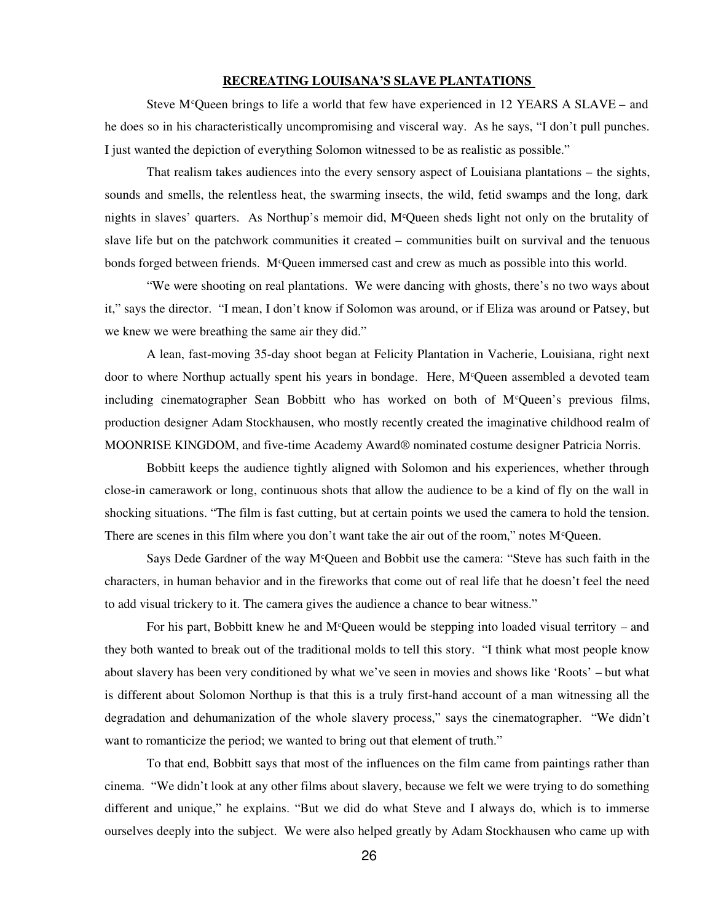# **RECREATING LOUISANA'S SLAVE PLANTATIONS**

Steve M<sup>c</sup>Queen brings to life a world that few have experienced in 12 YEARS A SLAVE – and he does so in his characteristically uncompromising and visceral way. As he says, "I don't pull punches. I just wanted the depiction of everything Solomon witnessed to be as realistic as possible."

That realism takes audiences into the every sensory aspect of Louisiana plantations – the sights, sounds and smells, the relentless heat, the swarming insects, the wild, fetid swamps and the long, dark nights in slaves' quarters. As Northup's memoir did, M<sup>c</sup>Queen sheds light not only on the brutality of slave life but on the patchwork communities it created – communities built on survival and the tenuous bonds forged between friends. M<sup>c</sup>Queen immersed cast and crew as much as possible into this world.

"We were shooting on real plantations. We were dancing with ghosts, there's no two ways about it," says the director. "I mean, I don't know if Solomon was around, or if Eliza was around or Patsey, but we knew we were breathing the same air they did."

A lean, fast-moving 35-day shoot began at Felicity Plantation in Vacherie, Louisiana, right next door to where Northup actually spent his years in bondage. Here, M<sup>c</sup>Queen assembled a devoted team including cinematographer Sean Bobbitt who has worked on both of  $M^c$ Queen's previous films, production designer Adam Stockhausen, who mostly recently created the imaginative childhood realm of MOONRISE KINGDOM, and five-time Academy Award® nominated costume designer Patricia Norris.

Bobbitt keeps the audience tightly aligned with Solomon and his experiences, whether through close-in camerawork or long, continuous shots that allow the audience to be a kind of fly on the wall in shocking situations. "The film is fast cutting, but at certain points we used the camera to hold the tension. There are scenes in this film where you don't want take the air out of the room," notes  $M^c$ Queen.

Says Dede Gardner of the way M<sup>c</sup>Queen and Bobbit use the camera: "Steve has such faith in the characters, in human behavior and in the fireworks that come out of real life that he doesn't feel the need to add visual trickery to it. The camera gives the audience a chance to bear witness."

For his part, Bobbitt knew he and M<sup>c</sup>Queen would be stepping into loaded visual territory – and they both wanted to break out of the traditional molds to tell this story. "I think what most people know about slavery has been very conditioned by what we've seen in movies and shows like 'Roots' – but what is different about Solomon Northup is that this is a truly first-hand account of a man witnessing all the degradation and dehumanization of the whole slavery process," says the cinematographer. "We didn't want to romanticize the period; we wanted to bring out that element of truth."

To that end, Bobbitt says that most of the influences on the film came from paintings rather than cinema. "We didn't look at any other films about slavery, because we felt we were trying to do something different and unique," he explains. "But we did do what Steve and I always do, which is to immerse ourselves deeply into the subject. We were also helped greatly by Adam Stockhausen who came up with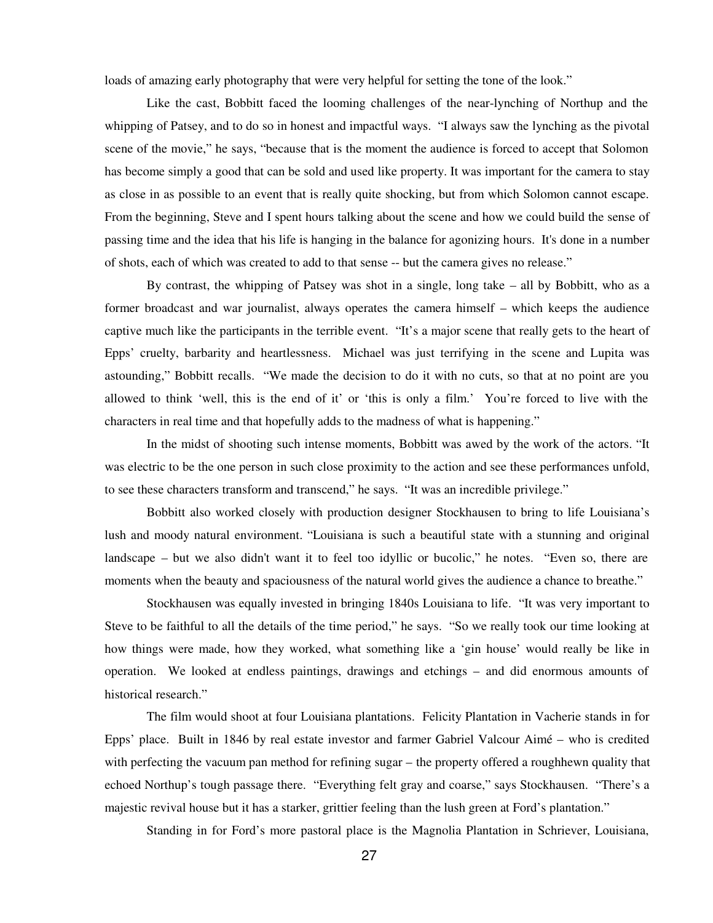loads of amazing early photography that were very helpful for setting the tone of the look."

Like the cast, Bobbitt faced the looming challenges of the near-lynching of Northup and the whipping of Patsey, and to do so in honest and impactful ways. "I always saw the lynching as the pivotal scene of the movie," he says, "because that is the moment the audience is forced to accept that Solomon has become simply a good that can be sold and used like property. It was important for the camera to stay as close in as possible to an event that is really quite shocking, but from which Solomon cannot escape. From the beginning, Steve and I spent hours talking about the scene and how we could build the sense of passing time and the idea that his life is hanging in the balance for agonizing hours. It's done in a number of shots, each of which was created to add to that sense -- but the camera gives no release."

By contrast, the whipping of Patsey was shot in a single, long take – all by Bobbitt, who as a former broadcast and war journalist, always operates the camera himself – which keeps the audience captive much like the participants in the terrible event. "It's a major scene that really gets to the heart of Epps' cruelty, barbarity and heartlessness. Michael was just terrifying in the scene and Lupita was astounding," Bobbitt recalls. "We made the decision to do it with no cuts, so that at no point are you allowed to think 'well, this is the end of it' or 'this is only a film.' You're forced to live with the characters in real time and that hopefully adds to the madness of what is happening."

In the midst of shooting such intense moments, Bobbitt was awed by the work of the actors. "It was electric to be the one person in such close proximity to the action and see these performances unfold, to see these characters transform and transcend," he says. "It was an incredible privilege."

Bobbitt also worked closely with production designer Stockhausen to bring to life Louisiana's lush and moody natural environment. "Louisiana is such a beautiful state with a stunning and original landscape – but we also didn't want it to feel too idyllic or bucolic," he notes. "Even so, there are moments when the beauty and spaciousness of the natural world gives the audience a chance to breathe."

Stockhausen was equally invested in bringing 1840s Louisiana to life. "It was very important to Steve to be faithful to all the details of the time period," he says. "So we really took our time looking at how things were made, how they worked, what something like a 'gin house' would really be like in operation. We looked at endless paintings, drawings and etchings – and did enormous amounts of historical research."

The film would shoot at four Louisiana plantations. Felicity Plantation in Vacherie stands in for Epps' place. Built in 1846 by real estate investor and farmer Gabriel Valcour Aimé – who is credited with perfecting the vacuum pan method for refining sugar – the property offered a roughhewn quality that echoed Northup's tough passage there. "Everything felt gray and coarse," says Stockhausen. "There's a majestic revival house but it has a starker, grittier feeling than the lush green at Ford's plantation."

Standing in for Ford's more pastoral place is the Magnolia Plantation in Schriever, Louisiana,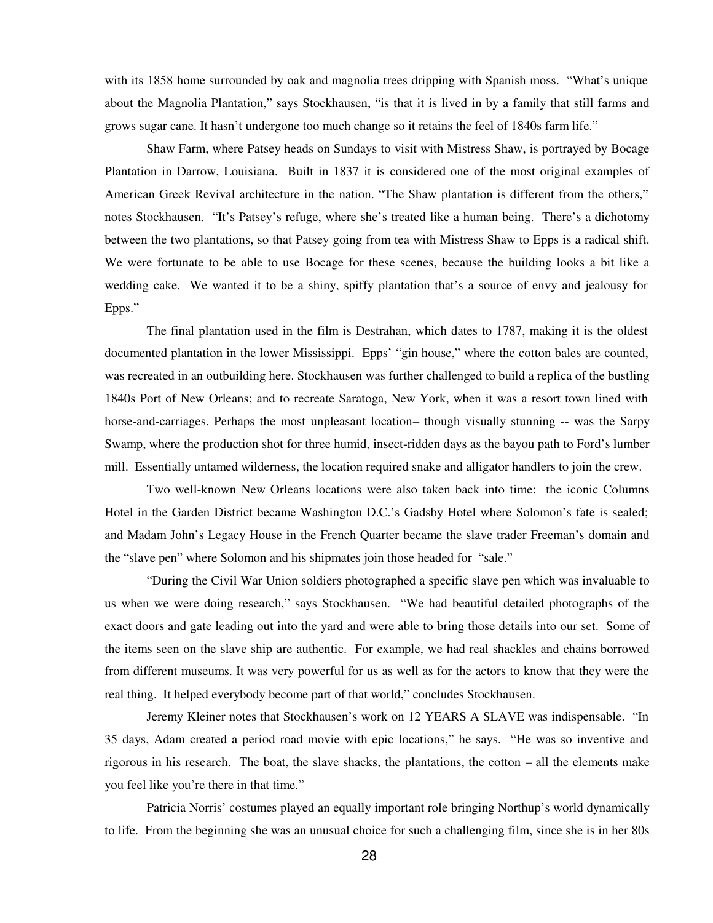with its 1858 home surrounded by oak and magnolia trees dripping with Spanish moss. "What's unique about the Magnolia Plantation," says Stockhausen, "is that it is lived in by a family that still farms and grows sugar cane. It hasn't undergone too much change so it retains the feel of 1840s farm life."

Shaw Farm, where Patsey heads on Sundays to visit with Mistress Shaw, is portrayed by Bocage Plantation in Darrow, Louisiana. Built in 1837 it is considered one of the most original examples of American Greek Revival architecture in the nation. "The Shaw plantation is different from the others," notes Stockhausen. "It's Patsey's refuge, where she's treated like a human being. There's a dichotomy between the two plantations, so that Patsey going from tea with Mistress Shaw to Epps is a radical shift. We were fortunate to be able to use Bocage for these scenes, because the building looks a bit like a wedding cake. We wanted it to be a shiny, spiffy plantation that's a source of envy and jealousy for Epps."

The final plantation used in the film is Destrahan, which dates to 1787, making it is the oldest documented plantation in the lower Mississippi. Epps' "gin house," where the cotton bales are counted, was recreated in an outbuilding here. Stockhausen was further challenged to build a replica of the bustling 1840s Port of New Orleans; and to recreate Saratoga, New York, when it was a resort town lined with horse-and-carriages. Perhaps the most unpleasant location– though visually stunning -- was the Sarpy Swamp, where the production shot for three humid, insect-ridden days as the bayou path to Ford's lumber mill. Essentially untamed wilderness, the location required snake and alligator handlers to join the crew.

Two well-known New Orleans locations were also taken back into time: the iconic Columns Hotel in the Garden District became Washington D.C.'s Gadsby Hotel where Solomon's fate is sealed; and Madam John's Legacy House in the French Quarter became the slave trader Freeman's domain and the "slave pen" where Solomon and his shipmates join those headed for "sale."

"During the Civil War Union soldiers photographed a specific slave pen which was invaluable to us when we were doing research," says Stockhausen. "We had beautiful detailed photographs of the exact doors and gate leading out into the yard and were able to bring those details into our set. Some of the items seen on the slave ship are authentic. For example, we had real shackles and chains borrowed from different museums. It was very powerful for us as well as for the actors to know that they were the real thing. It helped everybody become part of that world," concludes Stockhausen.

Jeremy Kleiner notes that Stockhausen's work on 12 YEARS A SLAVE was indispensable. "In 35 days, Adam created a period road movie with epic locations," he says. "He was so inventive and rigorous in his research. The boat, the slave shacks, the plantations, the cotton – all the elements make you feel like you're there in that time."

Patricia Norris' costumes played an equally important role bringing Northup's world dynamically to life. From the beginning she was an unusual choice for such a challenging film, since she is in her 80s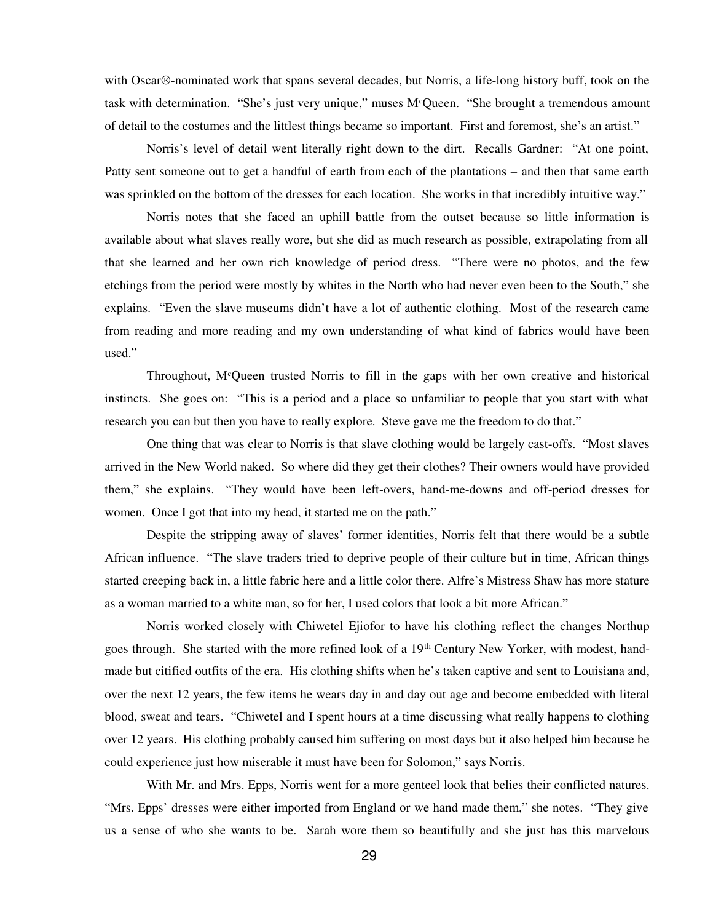with Oscar®-nominated work that spans several decades, but Norris, a life-long history buff, took on the task with determination. "She's just very unique," muses  $M^c$ Queen. "She brought a tremendous amount of detail to the costumes and the littlest things became so important. First and foremost, she's an artist."

Norris's level of detail went literally right down to the dirt. Recalls Gardner: "At one point, Patty sent someone out to get a handful of earth from each of the plantations – and then that same earth was sprinkled on the bottom of the dresses for each location. She works in that incredibly intuitive way."

Norris notes that she faced an uphill battle from the outset because so little information is available about what slaves really wore, but she did as much research as possible, extrapolating from all that she learned and her own rich knowledge of period dress. "There were no photos, and the few etchings from the period were mostly by whites in the North who had never even been to the South," she explains. "Even the slave museums didn't have a lot of authentic clothing. Most of the research came from reading and more reading and my own understanding of what kind of fabrics would have been used."

Throughout, M<sup>c</sup>Queen trusted Norris to fill in the gaps with her own creative and historical instincts. She goes on: "This is a period and a place so unfamiliar to people that you start with what research you can but then you have to really explore. Steve gave me the freedom to do that."

One thing that was clear to Norris is that slave clothing would be largely cast-offs. "Most slaves arrived in the New World naked. So where did they get their clothes? Their owners would have provided them," she explains. "They would have been left-overs, hand-me-downs and off-period dresses for women. Once I got that into my head, it started me on the path."

Despite the stripping away of slaves' former identities, Norris felt that there would be a subtle African influence. "The slave traders tried to deprive people of their culture but in time, African things started creeping back in, a little fabric here and a little color there. Alfre's Mistress Shaw has more stature as a woman married to a white man, so for her, I used colors that look a bit more African."

Norris worked closely with Chiwetel Ejiofor to have his clothing reflect the changes Northup goes through. She started with the more refined look of a 19<sup>th</sup> Century New Yorker, with modest, handmade but citified outfits of the era. His clothing shifts when he's taken captive and sent to Louisiana and, over the next 12 years, the few items he wears day in and day out age and become embedded with literal blood, sweat and tears. "Chiwetel and I spent hours at a time discussing what really happens to clothing over 12 years. His clothing probably caused him suffering on most days but it also helped him because he could experience just how miserable it must have been for Solomon," says Norris.

With Mr. and Mrs. Epps, Norris went for a more genteel look that belies their conflicted natures. "Mrs. Epps' dresses were either imported from England or we hand made them," she notes. "They give us a sense of who she wants to be. Sarah wore them so beautifully and she just has this marvelous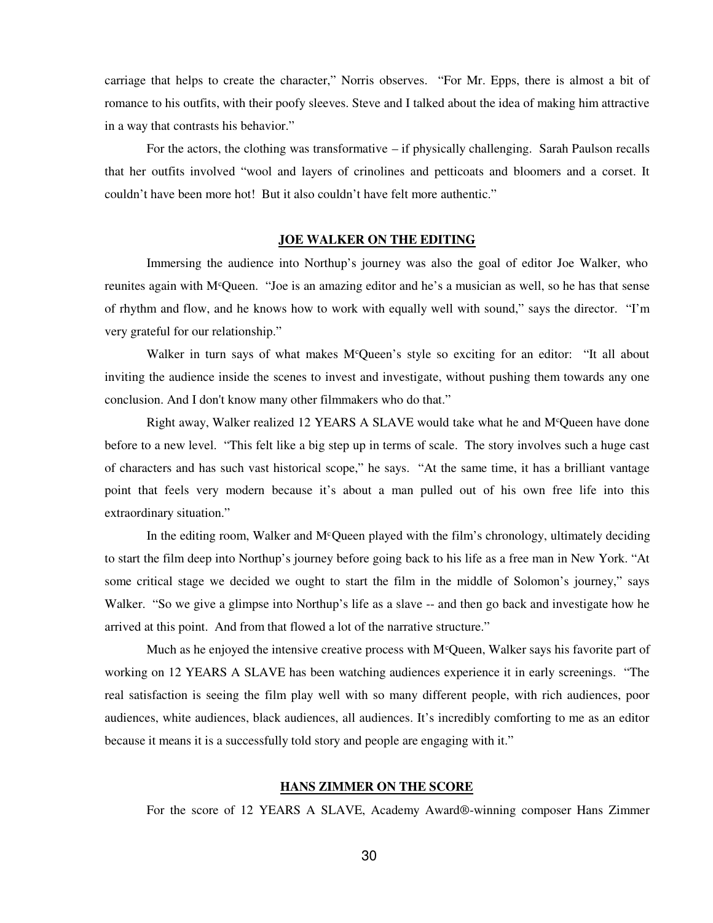carriage that helps to create the character," Norris observes. "For Mr. Epps, there is almost a bit of romance to his outfits, with their poofy sleeves. Steve and I talked about the idea of making him attractive in a way that contrasts his behavior."

For the actors, the clothing was transformative – if physically challenging. Sarah Paulson recalls that her outfits involved "wool and layers of crinolines and petticoats and bloomers and a corset. It couldn't have been more hot! But it also couldn't have felt more authentic."

#### **JOE WALKER ON THE EDITING**

Immersing the audience into Northup's journey was also the goal of editor Joe Walker, who reunites again with M<sup>c</sup>Queen. "Joe is an amazing editor and he's a musician as well, so he has that sense of rhythm and flow, and he knows how to work with equally well with sound," says the director. "I'm very grateful for our relationship."

Walker in turn says of what makes M<sup>c</sup>Queen's style so exciting for an editor: "It all about inviting the audience inside the scenes to invest and investigate, without pushing them towards any one conclusion. And I don't know many other filmmakers who do that."

Right away, Walker realized 12 YEARS A SLAVE would take what he and M<sup>c</sup>Queen have done before to a new level. "This felt like a big step up in terms of scale. The story involves such a huge cast of characters and has such vast historical scope," he says. "At the same time, it has a brilliant vantage point that feels very modern because it's about a man pulled out of his own free life into this extraordinary situation."

In the editing room, Walker and  $M<sup>c</sup>$ Queen played with the film's chronology, ultimately deciding to start the film deep into Northup's journey before going back to his life as a free man in New York. "At some critical stage we decided we ought to start the film in the middle of Solomon's journey," says Walker. "So we give a glimpse into Northup's life as a slave -- and then go back and investigate how he arrived at this point. And from that flowed a lot of the narrative structure."

Much as he enjoyed the intensive creative process with  $M<sup>c</sup>$ Queen, Walker says his favorite part of working on 12 YEARS A SLAVE has been watching audiences experience it in early screenings. "The real satisfaction is seeing the film play well with so many different people, with rich audiences, poor audiences, white audiences, black audiences, all audiences. It's incredibly comforting to me as an editor because it means it is a successfully told story and people are engaging with it."

### **HANS ZIMMER ON THE SCORE**

For the score of 12 YEARS A SLAVE, Academy Award®-winning composer Hans Zimmer